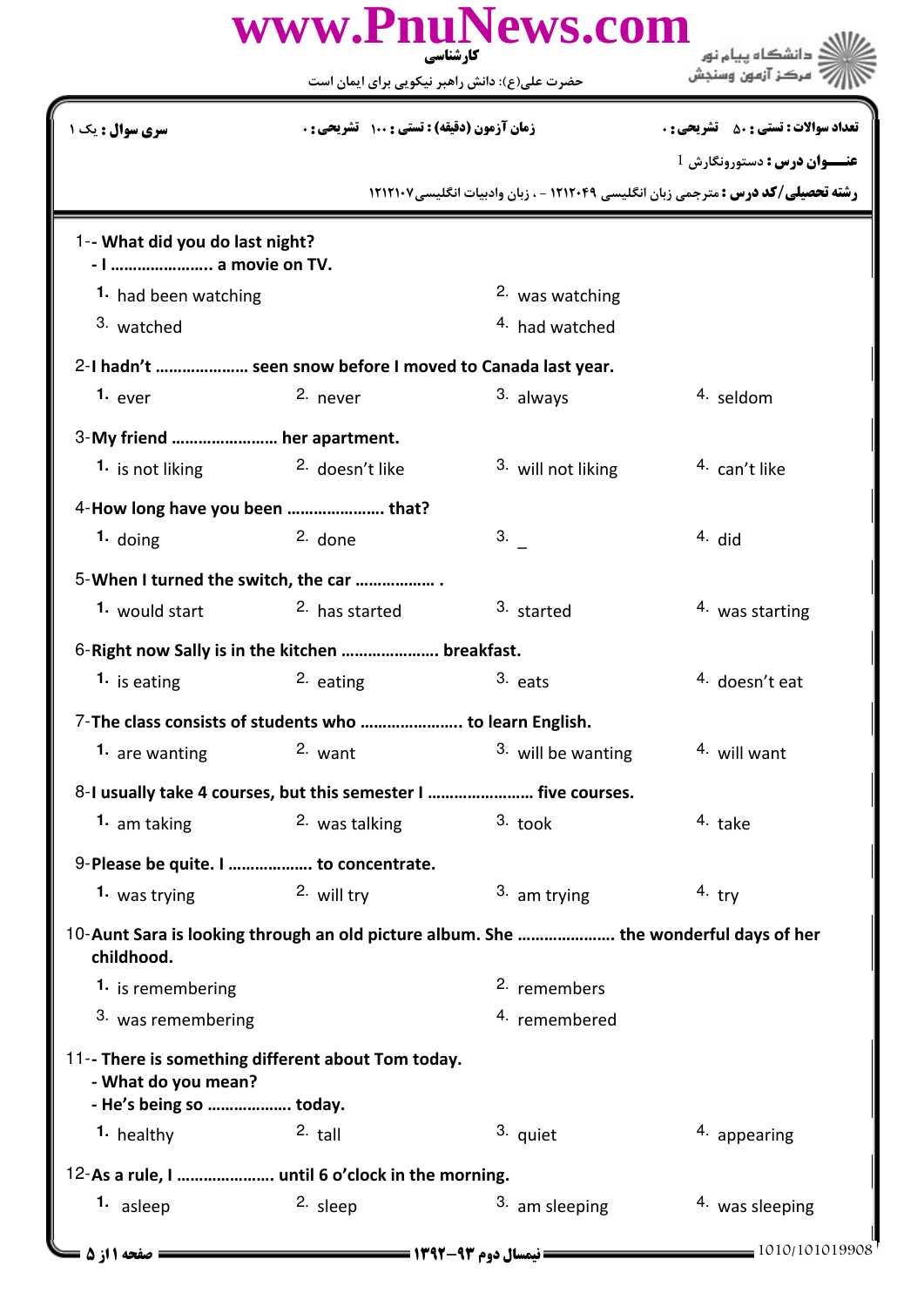|                                                                                                      | www.PnuNews.com<br>کار شناسی                                   |                           | ؛انشگاه ییام نور                                                                        |
|------------------------------------------------------------------------------------------------------|----------------------------------------------------------------|---------------------------|-----------------------------------------------------------------------------------------|
|                                                                                                      | حضرت علی(ع): دانش راهبر نیکویی برای ایمان است                  |                           |                                                                                         |
| <b>سری سوال :</b> یک ۱                                                                               | زمان آزمون (دقیقه) : تستی : 100 تشریحی : 0                     |                           | <b>تعداد سوالات : تستی : 50 ٪ تشریحی : 0</b>                                            |
|                                                                                                      |                                                                |                           | <b>عنـــوان درس :</b> دستورونگارش 1                                                     |
|                                                                                                      |                                                                |                           | <b>رشته تحصیلی/کد درس :</b> مترجمی زبان انگلیسی ۱۲۱۲۰۴۹ - ، زبان وادبیات انگلیسی۱۲۱۲۱۰۷ |
| 1-- What did you do last night?<br>- I  a movie on TV.                                               |                                                                |                           |                                                                                         |
| 1. had been watching                                                                                 |                                                                | <sup>2</sup> was watching |                                                                                         |
| 3. watched                                                                                           |                                                                | 4. had watched            |                                                                                         |
|                                                                                                      | 2-I hadn't  seen snow before I moved to Canada last year.      |                           |                                                                                         |
| 1. $ever$                                                                                            | 2. never                                                       | 3. always                 | 4. seldom                                                                               |
| 3-My friend  her apartment.                                                                          |                                                                |                           |                                                                                         |
| 1. is not liking                                                                                     | <sup>2.</sup> doesn't like                                     | 3. will not liking        | <sup>4.</sup> can't like                                                                |
| 4-How long have you been  that?                                                                      |                                                                |                           |                                                                                         |
| $1.$ doing                                                                                           | $2.$ done                                                      | 3.                        | $4.$ did                                                                                |
|                                                                                                      |                                                                |                           |                                                                                         |
| 5-When I turned the switch, the car                                                                  |                                                                |                           |                                                                                         |
| 1. would start                                                                                       | <sup>2.</sup> has started                                      | 3. started                | <sup>4</sup> was starting                                                               |
|                                                                                                      | 6-Right now Sally is in the kitchen  breakfast.                |                           |                                                                                         |
| 1. is eating                                                                                         | $2.$ eating                                                    | $3.$ eats                 | <sup>4.</sup> doesn't eat                                                               |
|                                                                                                      | 7-The class consists of students who  to learn English.        |                           |                                                                                         |
| 1. are wanting                                                                                       | $2.$ want                                                      | 3. will be wanting        | 4. will want                                                                            |
|                                                                                                      | 8-I usually take 4 courses, but this semester I  five courses. |                           |                                                                                         |
| 1. am taking                                                                                         | <sup>2</sup> was talking                                       | $3.$ took                 | 4. take                                                                                 |
| 9-Please be quite. I  to concentrate.                                                                |                                                                |                           |                                                                                         |
| 1. was trying                                                                                        | 2. will try                                                    | 3. am trying              | $4.$ try                                                                                |
| 10-Aunt Sara is looking through an old picture album. She  the wonderful days of her<br>childhood.   |                                                                |                           |                                                                                         |
| 1. is remembering                                                                                    |                                                                | <sup>2.</sup> remembers   |                                                                                         |
| 3. was remembering                                                                                   |                                                                | 4. remembered             |                                                                                         |
| 11-- There is something different about Tom today.<br>- What do you mean?<br>- He's being so  today. |                                                                |                           |                                                                                         |
| 1. healthy                                                                                           | $2.$ tall                                                      | 3. quiet                  | 4. appearing                                                                            |
| 12-As a rule, I  until 6 o'clock in the morning.                                                     |                                                                |                           |                                                                                         |
| 1. asleep                                                                                            | 2. sleep                                                       | 3. am sleeping            | 4. was sleeping                                                                         |
| = صفحه 1 از 5 =                                                                                      |                                                                |                           | $= 1010/101019908$                                                                      |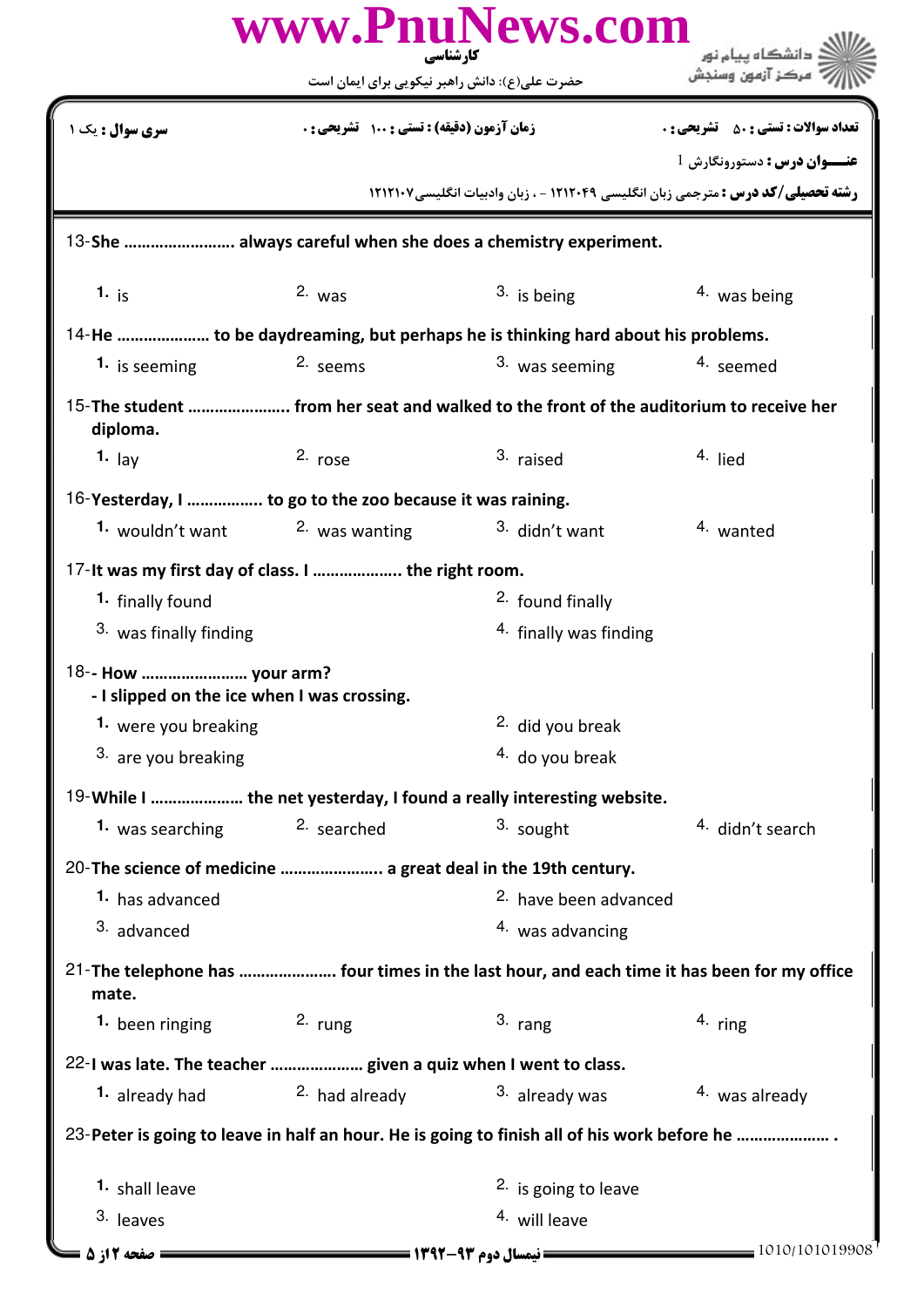| www.PnuNews.com<br>دانشگاه پیام نور<br>کارشناسی                                                     |                                               |                                       |                                                                                          |  |
|-----------------------------------------------------------------------------------------------------|-----------------------------------------------|---------------------------------------|------------------------------------------------------------------------------------------|--|
|                                                                                                     | حضرت علی(ع): دانش راهبر نیکویی برای ایمان است |                                       |                                                                                          |  |
| <b>سری سوال :</b> یک ۱                                                                              | زمان آزمون (دقیقه) : تستی : ۱۰۰٪ تشریحی : ۰   |                                       | <b>تعداد سوالات : تستی : 50 ٪ تشریحی : 0</b>                                             |  |
|                                                                                                     |                                               |                                       | <b>عنـــوان درس :</b> دستورونگارش 1                                                      |  |
|                                                                                                     |                                               |                                       | <b>رشته تحصیلی/کد درس :</b> مترجمی زبان انگلیسی ۱۲۱۲۰۴۹ - ، زبان وادبیات انگلیسی ۱۲۱۲۱۰۷ |  |
| 13-She  always careful when she does a chemistry experiment.                                        |                                               |                                       |                                                                                          |  |
| 1. $i_S$                                                                                            | $2.$ was                                      | $3.$ is being                         | $4.$ was being                                                                           |  |
| 14-He  to be daydreaming, but perhaps he is thinking hard about his problems.                       |                                               |                                       |                                                                                          |  |
| 1. is seeming                                                                                       | 2. seems                                      | 3. was seeming                        | 4. seemed                                                                                |  |
| 15-The student  from her seat and walked to the front of the auditorium to receive her<br>diploma.  |                                               |                                       |                                                                                          |  |
| 1. $_{\text{lay}}$                                                                                  | $2.$ rose                                     | 3. raised                             | 4. lied                                                                                  |  |
| 16-Yesterday, I  to go to the zoo because it was raining.                                           |                                               |                                       |                                                                                          |  |
| 1. wouldn't want                                                                                    | <sup>2</sup> was wanting                      | 3. didn't want                        | 4. wanted                                                                                |  |
| 17-It was my first day of class. I  the right room.                                                 |                                               |                                       |                                                                                          |  |
| 1. finally found                                                                                    |                                               | <sup>2.</sup> found finally           |                                                                                          |  |
| 3. was finally finding                                                                              |                                               | <sup>4.</sup> finally was finding     |                                                                                          |  |
| 18-- How  your arm?<br>- I slipped on the ice when I was crossing.                                  |                                               |                                       |                                                                                          |  |
| 1. were you breaking                                                                                |                                               | <sup>2.</sup> did you break           |                                                                                          |  |
| 3. are you breaking                                                                                 |                                               | 4. do you break                       |                                                                                          |  |
| 19-While I  the net yesterday, I found a really interesting website.                                |                                               |                                       |                                                                                          |  |
| 1. was searching                                                                                    | 2. searched                                   | 3. sought                             | <sup>4.</sup> didn't search                                                              |  |
| 20-The science of medicine  a great deal in the 19th century.                                       |                                               |                                       |                                                                                          |  |
| 1. has advanced                                                                                     |                                               | 2. have been advanced                 |                                                                                          |  |
| 3. advanced                                                                                         |                                               | 4. was advancing                      |                                                                                          |  |
| 21-The telephone has  four times in the last hour, and each time it has been for my office<br>mate. |                                               |                                       |                                                                                          |  |
| 1. been ringing $2.$ rung                                                                           |                                               | $3.$ rang                             | $4.$ ring                                                                                |  |
| 22-I was late. The teacher  given a quiz when I went to class.                                      |                                               |                                       |                                                                                          |  |
| 1. already had                                                                                      | 2. had already $3.$ already was               |                                       | <sup>4</sup> was already                                                                 |  |
| 23-Peter is going to leave in half an hour. He is going to finish all of his work before he         |                                               |                                       |                                                                                          |  |
| 1. shall leave                                                                                      |                                               | <sup>2.</sup> is going to leave       |                                                                                          |  |
| 3. leaves                                                                                           |                                               | <sup>4.</sup> will leave              |                                                                                          |  |
| = صفحه 12; 5 =                                                                                      |                                               | ــــــ نیمسال دوم ۹۳-۱۳۹۲ ـــــــــــ | $= 1010/101019908$                                                                       |  |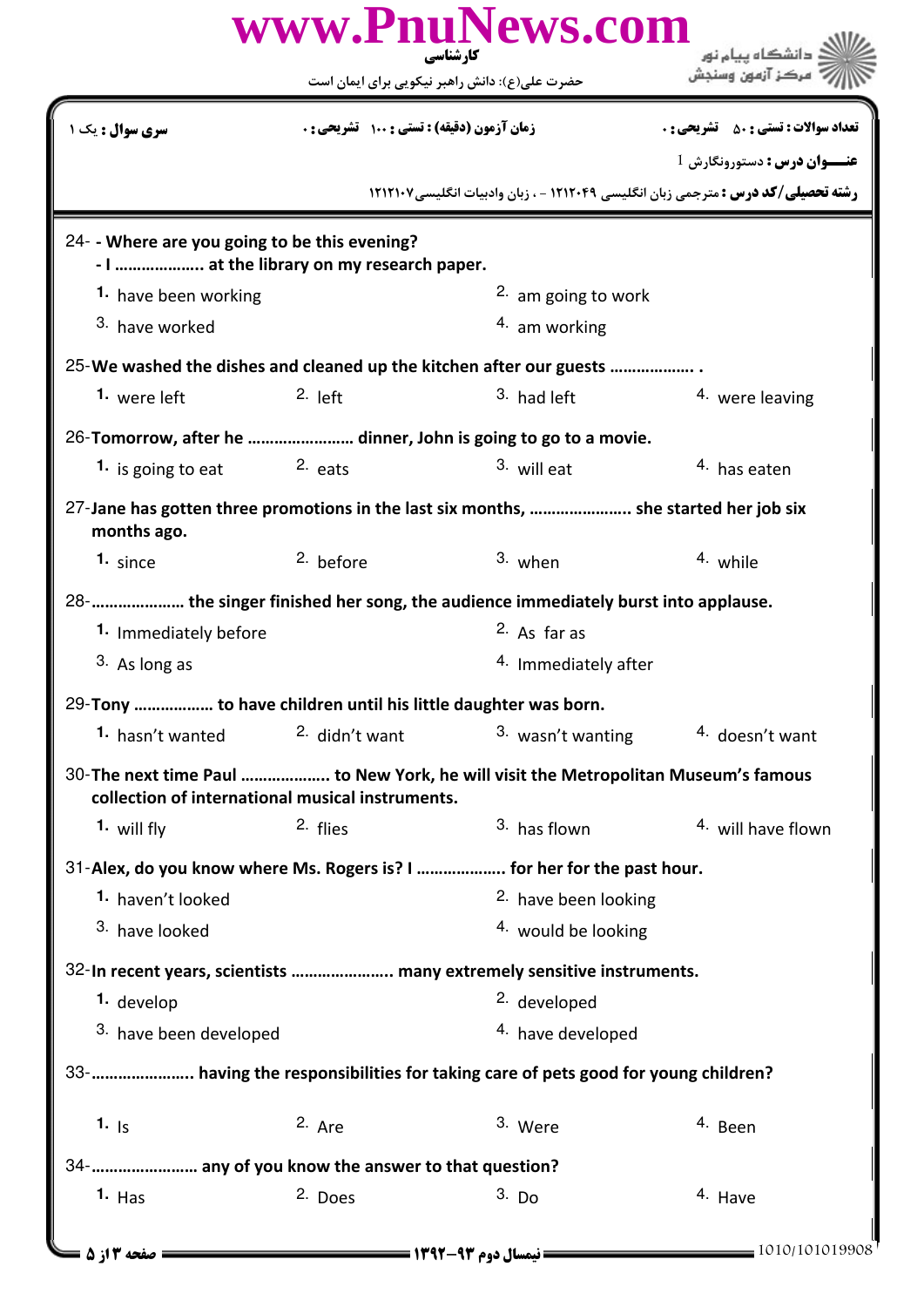| www.PnuNews.com<br>کار شناسی                                                                        |                                            |                                                                                          |                                              |  |
|-----------------------------------------------------------------------------------------------------|--------------------------------------------|------------------------------------------------------------------------------------------|----------------------------------------------|--|
|                                                                                                     |                                            | حضرت علی(ع): دانش راهبر نیکویی برای ایمان است                                            |                                              |  |
| <b>سری سوال :</b> یک ۱                                                                              | زمان آزمون (دقیقه) : تستی : 100 تشریحی : 0 |                                                                                          | <b>تعداد سوالات : تستی : 50 ٪ تشریحی : 0</b> |  |
|                                                                                                     |                                            |                                                                                          | <b>عنـــوان درس :</b> دستورونگارش 1          |  |
|                                                                                                     |                                            | <b>رشته تحصیلی/کد درس :</b> مترجمی زبان انگلیسی ۱۲۱۲۰۴۹ - ، زبان وادبیات انگلیسی/۱۲۱۲۱۰۷ |                                              |  |
| 24- - Where are you going to be this evening?<br>- I  at the library on my research paper.          |                                            |                                                                                          |                                              |  |
| 1. have been working                                                                                |                                            | $2.$ am going to work                                                                    |                                              |  |
| 3. have worked                                                                                      |                                            | 4. am working                                                                            |                                              |  |
|                                                                                                     |                                            | 25-We washed the dishes and cleaned up the kitchen after our guests                      |                                              |  |
| 1. were left                                                                                        | $2.$ left                                  | 3. had left                                                                              | 4. were leaving                              |  |
| 26-Tomorrow, after he  dinner, John is going to go to a movie.                                      |                                            |                                                                                          |                                              |  |
| 1. is going to eat                                                                                  | <sup>2.</sup> eats                         | 3. will eat                                                                              | <sup>4.</sup> has eaten                      |  |
| 27-Jane has gotten three promotions in the last six months,  she started her job six<br>months ago. |                                            |                                                                                          |                                              |  |
| $1. \;$ since                                                                                       | $2.$ before                                | $3.$ when                                                                                | 4. while                                     |  |
|                                                                                                     |                                            | 28-      the singer finished her song, the audience immediately burst into applause.     |                                              |  |
| 1. Immediately before                                                                               |                                            | <sup>2.</sup> As far as                                                                  |                                              |  |
| 3. As long as                                                                                       |                                            | <sup>4.</sup> Immediately after                                                          |                                              |  |
| 29-Tony  to have children until his little daughter was born.                                       |                                            |                                                                                          |                                              |  |
| 1. hasn't wanted                                                                                    | 2. didn't want                             | 3. wasn't wanting                                                                        | <sup>4.</sup> doesn't want                   |  |
| collection of international musical instruments.                                                    |                                            | 30-The next time Paul  to New York, he will visit the Metropolitan Museum's famous       |                                              |  |
| 1. will fly                                                                                         | 2. flies                                   | 3. has flown                                                                             | 4. will have flown                           |  |
|                                                                                                     |                                            | 31-Alex, do you know where Ms. Rogers is? I  for her for the past hour.                  |                                              |  |
| 1. haven't looked                                                                                   |                                            | <sup>2.</sup> have been looking                                                          |                                              |  |
| 3. have looked                                                                                      |                                            | <sup>4.</sup> would be looking                                                           |                                              |  |
|                                                                                                     |                                            | 32-In recent years, scientists  many extremely sensitive instruments.                    |                                              |  |
| 1. develop                                                                                          |                                            | <sup>2.</sup> developed                                                                  |                                              |  |
| 3. have been developed                                                                              |                                            | 4. have developed                                                                        |                                              |  |
|                                                                                                     |                                            | 33-  having the responsibilities for taking care of pets good for young children?        |                                              |  |
| 1. $ s $                                                                                            | $2.$ Are                                   | 3. Were                                                                                  | 4. Been                                      |  |
| 34-       any of you know the answer to that question?                                              |                                            |                                                                                          |                                              |  |
| $1.$ Has                                                                                            | 2. Does                                    | $3.$ Do                                                                                  | 4. Have                                      |  |
| ـــــــ صفحه ۲ از ۵ ـــا                                                                            |                                            |                                                                                          | $=$ 1010/101019908                           |  |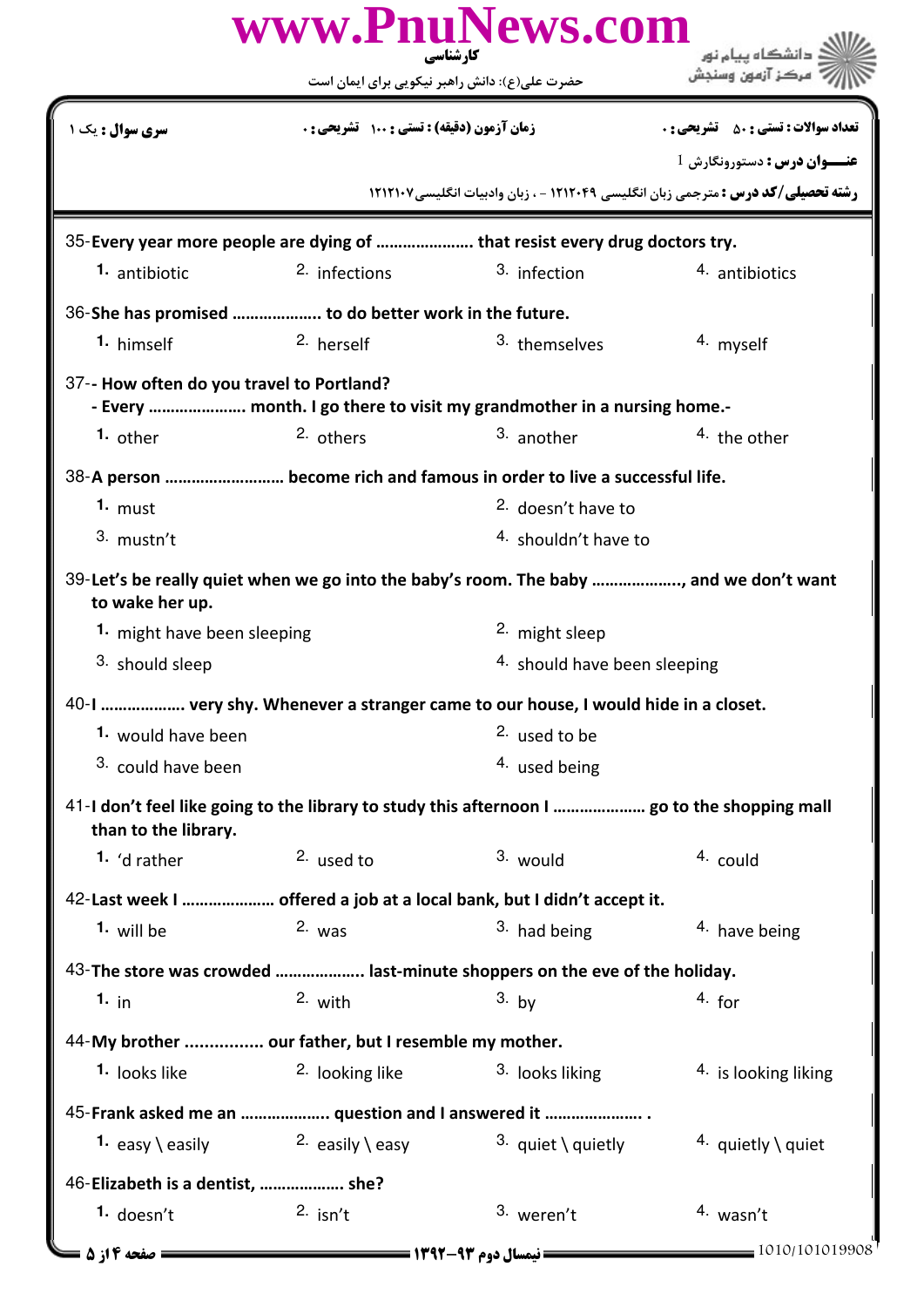| www.PnuNews.com<br>کارشناسی                                                                                          |                                               |                                                                        |                                                                                          |  |
|----------------------------------------------------------------------------------------------------------------------|-----------------------------------------------|------------------------------------------------------------------------|------------------------------------------------------------------------------------------|--|
|                                                                                                                      | حضرت علی(ع): دانش راهبر نیکویی برای ایمان است |                                                                        |                                                                                          |  |
| <b>سری سوال :</b> یک ۱                                                                                               | زمان آزمون (دقیقه) : تستی : 100 تشریحی : 0    |                                                                        | <b>تعداد سوالات : تستي : 50 ٪ تشريحي : 0</b>                                             |  |
|                                                                                                                      |                                               |                                                                        | <b>عنـــوان درس :</b> دستورونگارش 1                                                      |  |
|                                                                                                                      |                                               |                                                                        | <b>رشته تحصیلی/کد درس :</b> مترجمی زبان انگلیسی ۱۲۱۲۰۴۹ - ، زبان وادبیات انگلیسی ۱۲۱۲۱۰۷ |  |
| 35-Every year more people are dying of  that resist every drug doctors try.                                          |                                               |                                                                        |                                                                                          |  |
| 1. antibiotic                                                                                                        | <sup>2.</sup> infections                      | 3. infection                                                           | 4. antibiotics                                                                           |  |
| 36-She has promised  to do better work in the future.                                                                |                                               |                                                                        |                                                                                          |  |
| 1. himself                                                                                                           | 2. herself                                    | 3. themselves                                                          | 4. myself                                                                                |  |
| 37-- How often do you travel to Portland?                                                                            |                                               | - Every  month. I go there to visit my grandmother in a nursing home.- |                                                                                          |  |
| 1. other                                                                                                             | 2. others                                     | 3. another                                                             | 4. the other                                                                             |  |
| 38-A person  become rich and famous in order to live a successful life.                                              |                                               |                                                                        |                                                                                          |  |
| 1. $must$                                                                                                            |                                               | <sup>2.</sup> doesn't have to                                          |                                                                                          |  |
| 3. mustn't                                                                                                           |                                               | <sup>4.</sup> shouldn't have to                                        |                                                                                          |  |
| 39-Let's be really quiet when we go into the baby's room. The baby , and we don't want<br>to wake her up.            |                                               |                                                                        |                                                                                          |  |
| 1. might have been sleeping                                                                                          |                                               | <sup>2.</sup> might sleep                                              |                                                                                          |  |
| 3. should sleep                                                                                                      |                                               |                                                                        | 4. should have been sleeping                                                             |  |
| 40-I  very shy. Whenever a stranger came to our house, I would hide in a closet.                                     |                                               |                                                                        |                                                                                          |  |
| 1. would have been                                                                                                   |                                               | <sup>2.</sup> used to be                                               |                                                                                          |  |
| <sup>3.</sup> could have been                                                                                        |                                               | <sup>4.</sup> used being                                               |                                                                                          |  |
| 41-I don't feel like going to the library to study this afternoon I  go to the shopping mall<br>than to the library. |                                               |                                                                        |                                                                                          |  |
| 1. $d$ rather                                                                                                        | 2. used to                                    | 3. would                                                               | 4. could                                                                                 |  |
| 42-Last week I  offered a job at a local bank, but I didn't accept it.                                               |                                               |                                                                        |                                                                                          |  |
| 1. will be                                                                                                           | $2.$ was                                      | <sup>3</sup> had being                                                 | $4.$ have being                                                                          |  |
| 43-The store was crowded  last-minute shoppers on the eve of the holiday.                                            |                                               |                                                                        |                                                                                          |  |
| 1. in                                                                                                                | $2.$ with                                     | $3.$ by                                                                | $4.$ for                                                                                 |  |
| 44-My brother  our father, but I resemble my mother.                                                                 |                                               |                                                                        |                                                                                          |  |
| <sup>1.</sup> looks like                                                                                             | <sup>2.</sup> looking like                    | <sup>3.</sup> looks liking                                             | <sup>4</sup> is looking liking                                                           |  |
| 45-Frank asked me an  question and I answered it                                                                     |                                               |                                                                        |                                                                                          |  |
| 1. $\mathsf{easy} \setminus \mathsf{easily}$                                                                         | <sup>2.</sup> easily \ easy                   | 3. quiet \ quietly                                                     | 4. quietly \ quiet                                                                       |  |
| 46-Elizabeth is a dentist,  she?                                                                                     |                                               |                                                                        |                                                                                          |  |
| <sup>1.</sup> doesn't                                                                                                | $2.$ isn't                                    | 3. weren't                                                             | 4. wasn't                                                                                |  |
| = صفحه 14; 5 <b>=</b>                                                                                                |                                               |                                                                        | 1010/101019908                                                                           |  |